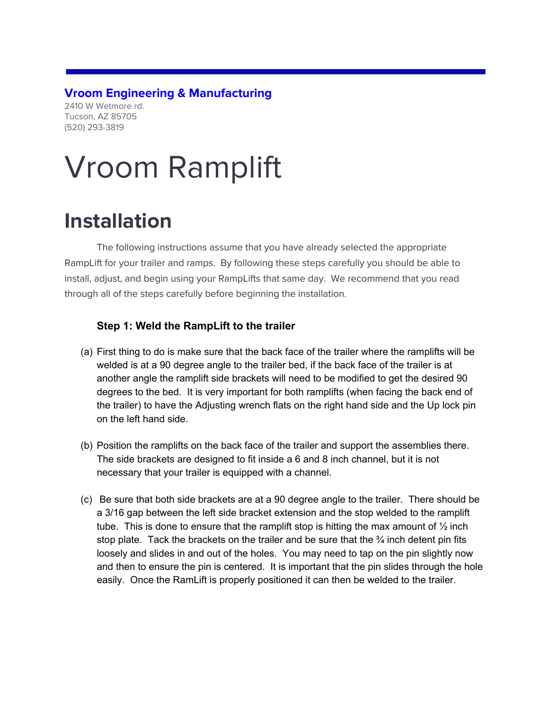# **Vroom Engineering & Manufacturing**

2410 W Wetmore rd. Tucson, AZ 85705 (520) 293-3819

# Vroom Ramplift

# **Installation**

The following instructions assume that you have already selected the appropriate RampLift for your trailer and ramps. By following these steps carefully you should be able to install, adjust, and begin using your RampLifts that same day. We recommend that you read through all of the steps carefully before beginning the installation.

#### **Step 1: Weld the RampLift to the trailer**

- (a) First thing to do is make sure that the back face of the trailer where the ramplifts will be welded is at a 90 degree angle to the trailer bed, if the back face of the trailer is at another angle the ramplift side brackets will need to be modified to get the desired 90 degrees to the bed. It is very important for both ramplifts (when facing the back end of the trailer) to have the Adjusting wrench flats on the right hand side and the Up lock pin on the left hand side.
- (b) Position the ramplifts on the back face of the trailer and support the assemblies there. The side brackets are designed to fit inside a 6 and 8 inch channel, but it is not necessary that your trailer is equipped with a channel.
- (c) Be sure that both side brackets are at a 90 degree angle to the trailer. There should be a 3/16 gap between the left side bracket extension and the stop welded to the ramplift tube. This is done to ensure that the ramplift stop is hitting the max amount of  $\frac{1}{2}$  inch stop plate. Tack the brackets on the trailer and be sure that the  $\frac{3}{4}$  inch detent pin fits loosely and slides in and out of the holes. You may need to tap on the pin slightly now and then to ensure the pin is centered. It is important that the pin slides through the hole easily. Once the RamLift is properly positioned it can then be welded to the trailer.